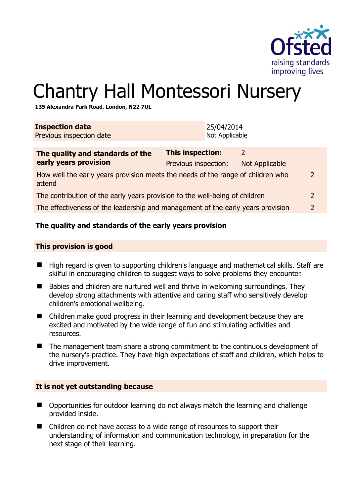

# Chantry Hall Montessori Nursery

**135 Alexandra Park Road, London, N22 7UL** 

| <b>Inspection date</b><br>Previous inspection date                                                         | 25/04/2014<br>Not Applicable             |                            |               |
|------------------------------------------------------------------------------------------------------------|------------------------------------------|----------------------------|---------------|
| The quality and standards of the<br>early years provision                                                  | This inspection:<br>Previous inspection: | 2<br><b>Not Applicable</b> |               |
| How well the early years provision meets the needs of the range of children who<br>$\mathcal{P}$<br>attend |                                          |                            |               |
| The contribution of the early years provision to the well-being of children                                |                                          |                            | $\mathcal{P}$ |
| The effectiveness of the leadership and management of the early years provision                            |                                          |                            | 2             |
|                                                                                                            |                                          |                            |               |

#### **The quality and standards of the early years provision**

#### **This provision is good**

- High regard is given to supporting children's language and mathematical skills. Staff are skilful in encouraging children to suggest ways to solve problems they encounter.
- Babies and children are nurtured well and thrive in welcoming surroundings. They develop strong attachments with attentive and caring staff who sensitively develop children's emotional wellbeing.
- Children make good progress in their learning and development because they are excited and motivated by the wide range of fun and stimulating activities and resources.
- The management team share a strong commitment to the continuous development of the nursery's practice. They have high expectations of staff and children, which helps to drive improvement.

#### **It is not yet outstanding because**

- Opportunities for outdoor learning do not always match the learning and challenge provided inside.
- Children do not have access to a wide range of resources to support their understanding of information and communication technology, in preparation for the next stage of their learning.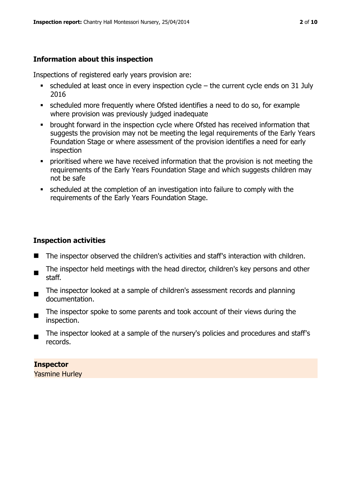# **Information about this inspection**

Inspections of registered early years provision are:

- scheduled at least once in every inspection cycle the current cycle ends on 31 July 2016
- scheduled more frequently where Ofsted identifies a need to do so, for example where provision was previously judged inadequate
- **•** brought forward in the inspection cycle where Ofsted has received information that suggests the provision may not be meeting the legal requirements of the Early Years Foundation Stage or where assessment of the provision identifies a need for early inspection
- **•** prioritised where we have received information that the provision is not meeting the requirements of the Early Years Foundation Stage and which suggests children may not be safe
- scheduled at the completion of an investigation into failure to comply with the requirements of the Early Years Foundation Stage.

# **Inspection activities**

- The inspector observed the children's activities and staff's interaction with children.
- $\blacksquare$ The inspector held meetings with the head director, children's key persons and other staff.
- The inspector looked at a sample of children's assessment records and planning documentation.
- $\blacksquare$ The inspector spoke to some parents and took account of their views during the inspection.
- The inspector looked at a sample of the nursery's policies and procedures and staff's records.

# **Inspector**

Yasmine Hurley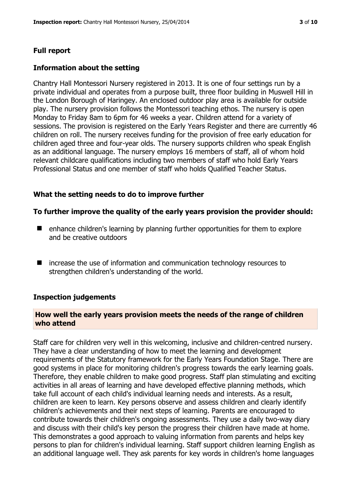# **Full report**

### **Information about the setting**

Chantry Hall Montessori Nursery registered in 2013. It is one of four settings run by a private individual and operates from a purpose built, three floor building in Muswell Hill in the London Borough of Haringey. An enclosed outdoor play area is available for outside play. The nursery provision follows the Montessori teaching ethos. The nursery is open Monday to Friday 8am to 6pm for 46 weeks a year. Children attend for a variety of sessions. The provision is registered on the Early Years Register and there are currently 46 children on roll. The nursery receives funding for the provision of free early education for children aged three and four-year olds. The nursery supports children who speak English as an additional language. The nursery employs 16 members of staff, all of whom hold relevant childcare qualifications including two members of staff who hold Early Years Professional Status and one member of staff who holds Qualified Teacher Status.

# **What the setting needs to do to improve further**

#### **To further improve the quality of the early years provision the provider should:**

- enhance children's learning by planning further opportunities for them to explore and be creative outdoors
- increase the use of information and communication technology resources to strengthen children's understanding of the world.

#### **Inspection judgements**

#### **How well the early years provision meets the needs of the range of children who attend**

Staff care for children very well in this welcoming, inclusive and children-centred nursery. They have a clear understanding of how to meet the learning and development requirements of the Statutory framework for the Early Years Foundation Stage. There are good systems in place for monitoring children's progress towards the early learning goals. Therefore, they enable children to make good progress. Staff plan stimulating and exciting activities in all areas of learning and have developed effective planning methods, which take full account of each child's individual learning needs and interests. As a result, children are keen to learn. Key persons observe and assess children and clearly identify children's achievements and their next steps of learning. Parents are encouraged to contribute towards their children's ongoing assessments. They use a daily two-way diary and discuss with their child's key person the progress their children have made at home. This demonstrates a good approach to valuing information from parents and helps key persons to plan for children's individual learning. Staff support children learning English as an additional language well. They ask parents for key words in children's home languages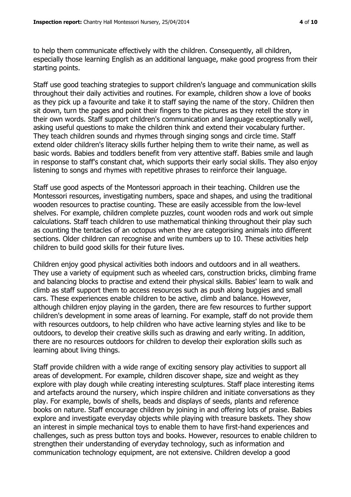to help them communicate effectively with the children. Consequently, all children, especially those learning English as an additional language, make good progress from their starting points.

Staff use good teaching strategies to support children's language and communication skills throughout their daily activities and routines. For example, children show a love of books as they pick up a favourite and take it to staff saying the name of the story. Children then sit down, turn the pages and point their fingers to the pictures as they retell the story in their own words. Staff support children's communication and language exceptionally well, asking useful questions to make the children think and extend their vocabulary further. They teach children sounds and rhymes through singing songs and circle time. Staff extend older children's literacy skills further helping them to write their name, as well as basic words. Babies and toddlers benefit from very attentive staff. Babies smile and laugh in response to staff's constant chat, which supports their early social skills. They also enjoy listening to songs and rhymes with repetitive phrases to reinforce their language.

Staff use good aspects of the Montessori approach in their teaching. Children use the Montessori resources, investigating numbers, space and shapes, and using the traditional wooden resources to practise counting. These are easily accessible from the low-level shelves. For example, children complete puzzles, count wooden rods and work out simple calculations. Staff teach children to use mathematical thinking throughout their play such as counting the tentacles of an octopus when they are categorising animals into different sections. Older children can recognise and write numbers up to 10. These activities help children to build good skills for their future lives.

Children enjoy good physical activities both indoors and outdoors and in all weathers. They use a variety of equipment such as wheeled cars, construction bricks, climbing frame and balancing blocks to practise and extend their physical skills. Babies' learn to walk and climb as staff support them to access resources such as push along buggies and small cars. These experiences enable children to be active, climb and balance. However, although children enjoy playing in the garden, there are few resources to further support children's development in some areas of learning. For example, staff do not provide them with resources outdoors, to help children who have active learning styles and like to be outdoors, to develop their creative skills such as drawing and early writing. In addition, there are no resources outdoors for children to develop their exploration skills such as learning about living things.

Staff provide children with a wide range of exciting sensory play activities to support all areas of development. For example, children discover shape, size and weight as they explore with play dough while creating interesting sculptures. Staff place interesting items and artefacts around the nursery, which inspire children and initiate conversations as they play. For example, bowls of shells, beads and displays of seeds, plants and reference books on nature. Staff encourage children by joining in and offering lots of praise. Babies explore and investigate everyday objects while playing with treasure baskets. They show an interest in simple mechanical toys to enable them to have first-hand experiences and challenges, such as press button toys and books. However, resources to enable children to strengthen their understanding of everyday technology, such as information and communication technology equipment, are not extensive. Children develop a good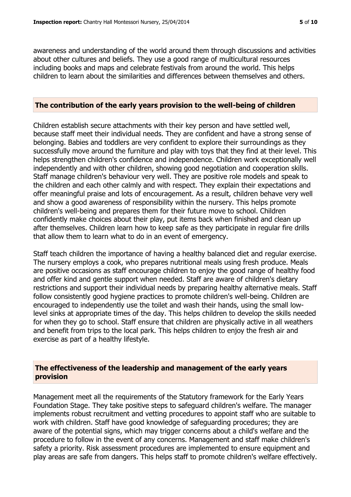awareness and understanding of the world around them through discussions and activities about other cultures and beliefs. They use a good range of multicultural resources including books and maps and celebrate festivals from around the world. This helps children to learn about the similarities and differences between themselves and others.

#### **The contribution of the early years provision to the well-being of children**

Children establish secure attachments with their key person and have settled well, because staff meet their individual needs. They are confident and have a strong sense of belonging. Babies and toddlers are very confident to explore their surroundings as they successfully move around the furniture and play with toys that they find at their level. This helps strengthen children's confidence and independence. Children work exceptionally well independently and with other children, showing good negotiation and cooperation skills. Staff manage children's behaviour very well. They are positive role models and speak to the children and each other calmly and with respect. They explain their expectations and offer meaningful praise and lots of encouragement. As a result, children behave very well and show a good awareness of responsibility within the nursery. This helps promote children's well-being and prepares them for their future move to school. Children confidently make choices about their play, put items back when finished and clean up after themselves. Children learn how to keep safe as they participate in regular fire drills that allow them to learn what to do in an event of emergency.

Staff teach children the importance of having a healthy balanced diet and regular exercise. The nursery employs a cook, who prepares nutritional meals using fresh produce. Meals are positive occasions as staff encourage children to enjoy the good range of healthy food and offer kind and gentle support when needed. Staff are aware of children's dietary restrictions and support their individual needs by preparing healthy alternative meals. Staff follow consistently good hygiene practices to promote children's well-being. Children are encouraged to independently use the toilet and wash their hands, using the small lowlevel sinks at appropriate times of the day. This helps children to develop the skills needed for when they go to school. Staff ensure that children are physically active in all weathers and benefit from trips to the local park. This helps children to enjoy the fresh air and exercise as part of a healthy lifestyle.

#### **The effectiveness of the leadership and management of the early years provision**

Management meet all the requirements of the Statutory framework for the Early Years Foundation Stage. They take positive steps to safeguard children's welfare. The manager implements robust recruitment and vetting procedures to appoint staff who are suitable to work with children. Staff have good knowledge of safeguarding procedures; they are aware of the potential signs, which may trigger concerns about a child's welfare and the procedure to follow in the event of any concerns. Management and staff make children's safety a priority. Risk assessment procedures are implemented to ensure equipment and play areas are safe from dangers. This helps staff to promote children's welfare effectively.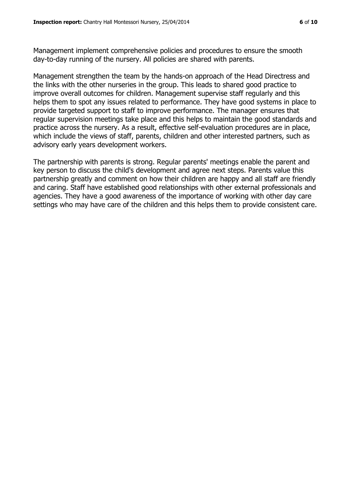Management implement comprehensive policies and procedures to ensure the smooth day-to-day running of the nursery. All policies are shared with parents.

Management strengthen the team by the hands-on approach of the Head Directress and the links with the other nurseries in the group. This leads to shared good practice to improve overall outcomes for children. Management supervise staff regularly and this helps them to spot any issues related to performance. They have good systems in place to provide targeted support to staff to improve performance. The manager ensures that regular supervision meetings take place and this helps to maintain the good standards and practice across the nursery. As a result, effective self-evaluation procedures are in place, which include the views of staff, parents, children and other interested partners, such as advisory early years development workers.

The partnership with parents is strong. Regular parents' meetings enable the parent and key person to discuss the child's development and agree next steps. Parents value this partnership greatly and comment on how their children are happy and all staff are friendly and caring. Staff have established good relationships with other external professionals and agencies. They have a good awareness of the importance of working with other day care settings who may have care of the children and this helps them to provide consistent care.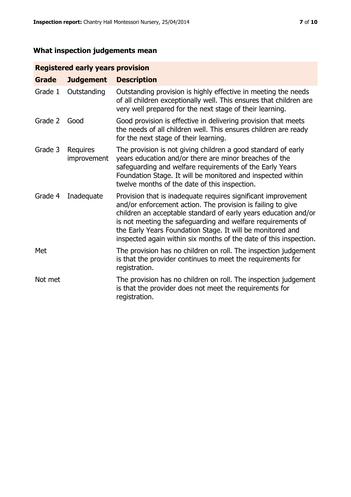# **What inspection judgements mean**

# **Registered early years provision**

| <b>Grade</b> | <b>Judgement</b>        | <b>Description</b>                                                                                                                                                                                                                                                                                                                                                                                |
|--------------|-------------------------|---------------------------------------------------------------------------------------------------------------------------------------------------------------------------------------------------------------------------------------------------------------------------------------------------------------------------------------------------------------------------------------------------|
| Grade 1      | Outstanding             | Outstanding provision is highly effective in meeting the needs<br>of all children exceptionally well. This ensures that children are<br>very well prepared for the next stage of their learning.                                                                                                                                                                                                  |
| Grade 2      | Good                    | Good provision is effective in delivering provision that meets<br>the needs of all children well. This ensures children are ready<br>for the next stage of their learning.                                                                                                                                                                                                                        |
| Grade 3      | Requires<br>improvement | The provision is not giving children a good standard of early<br>years education and/or there are minor breaches of the<br>safeguarding and welfare requirements of the Early Years<br>Foundation Stage. It will be monitored and inspected within<br>twelve months of the date of this inspection.                                                                                               |
| Grade 4      | Inadequate              | Provision that is inadequate requires significant improvement<br>and/or enforcement action. The provision is failing to give<br>children an acceptable standard of early years education and/or<br>is not meeting the safeguarding and welfare requirements of<br>the Early Years Foundation Stage. It will be monitored and<br>inspected again within six months of the date of this inspection. |
| Met          |                         | The provision has no children on roll. The inspection judgement<br>is that the provider continues to meet the requirements for<br>registration.                                                                                                                                                                                                                                                   |
| Not met      |                         | The provision has no children on roll. The inspection judgement<br>is that the provider does not meet the requirements for<br>registration.                                                                                                                                                                                                                                                       |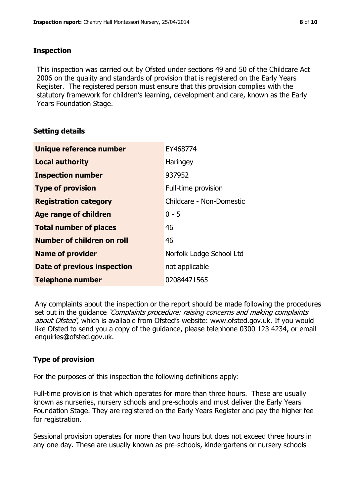### **Inspection**

This inspection was carried out by Ofsted under sections 49 and 50 of the Childcare Act 2006 on the quality and standards of provision that is registered on the Early Years Register. The registered person must ensure that this provision complies with the statutory framework for children's learning, development and care, known as the Early Years Foundation Stage.

# **Setting details**

| Unique reference number       | EY468774                 |
|-------------------------------|--------------------------|
| <b>Local authority</b>        | Haringey                 |
| <b>Inspection number</b>      | 937952                   |
| <b>Type of provision</b>      | Full-time provision      |
| <b>Registration category</b>  | Childcare - Non-Domestic |
| <b>Age range of children</b>  | $0 - 5$                  |
| <b>Total number of places</b> | 46                       |
| Number of children on roll    | 46                       |
| <b>Name of provider</b>       | Norfolk Lodge School Ltd |
| Date of previous inspection   | not applicable           |
| <b>Telephone number</b>       | 02084471565              |

Any complaints about the inspection or the report should be made following the procedures set out in the guidance *'Complaints procedure: raising concerns and making complaints* about Ofsted', which is available from Ofsted's website: www.ofsted.gov.uk. If you would like Ofsted to send you a copy of the guidance, please telephone 0300 123 4234, or email enquiries@ofsted.gov.uk.

# **Type of provision**

For the purposes of this inspection the following definitions apply:

Full-time provision is that which operates for more than three hours. These are usually known as nurseries, nursery schools and pre-schools and must deliver the Early Years Foundation Stage. They are registered on the Early Years Register and pay the higher fee for registration.

Sessional provision operates for more than two hours but does not exceed three hours in any one day. These are usually known as pre-schools, kindergartens or nursery schools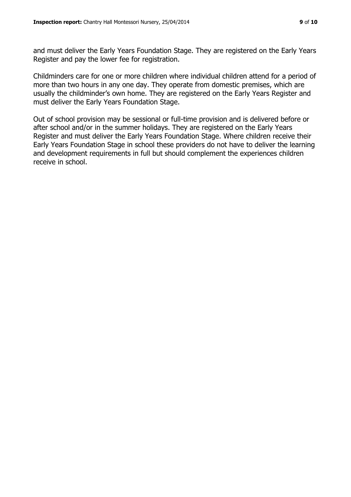and must deliver the Early Years Foundation Stage. They are registered on the Early Years Register and pay the lower fee for registration.

Childminders care for one or more children where individual children attend for a period of more than two hours in any one day. They operate from domestic premises, which are usually the childminder's own home. They are registered on the Early Years Register and must deliver the Early Years Foundation Stage.

Out of school provision may be sessional or full-time provision and is delivered before or after school and/or in the summer holidays. They are registered on the Early Years Register and must deliver the Early Years Foundation Stage. Where children receive their Early Years Foundation Stage in school these providers do not have to deliver the learning and development requirements in full but should complement the experiences children receive in school.